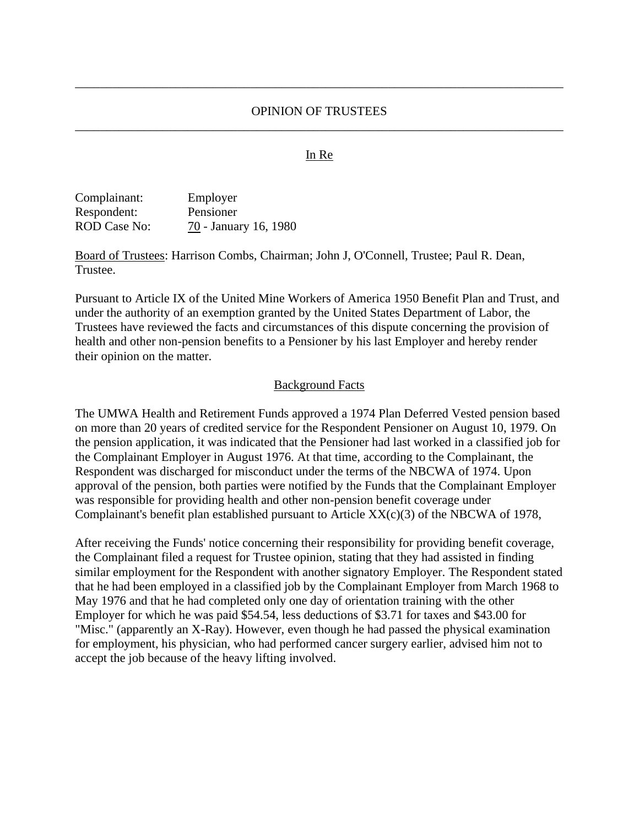## OPINION OF TRUSTEES \_\_\_\_\_\_\_\_\_\_\_\_\_\_\_\_\_\_\_\_\_\_\_\_\_\_\_\_\_\_\_\_\_\_\_\_\_\_\_\_\_\_\_\_\_\_\_\_\_\_\_\_\_\_\_\_\_\_\_\_\_\_\_\_\_\_\_\_\_\_\_\_\_\_\_\_\_\_

\_\_\_\_\_\_\_\_\_\_\_\_\_\_\_\_\_\_\_\_\_\_\_\_\_\_\_\_\_\_\_\_\_\_\_\_\_\_\_\_\_\_\_\_\_\_\_\_\_\_\_\_\_\_\_\_\_\_\_\_\_\_\_\_\_\_\_\_\_\_\_\_\_\_\_\_\_\_

## In Re

| Complainant:        | Employer              |
|---------------------|-----------------------|
| Respondent:         | Pensioner             |
| <b>ROD</b> Case No: | 70 - January 16, 1980 |

Board of Trustees: Harrison Combs, Chairman; John J, O'Connell, Trustee; Paul R. Dean, Trustee.

Pursuant to Article IX of the United Mine Workers of America 1950 Benefit Plan and Trust, and under the authority of an exemption granted by the United States Department of Labor, the Trustees have reviewed the facts and circumstances of this dispute concerning the provision of health and other non-pension benefits to a Pensioner by his last Employer and hereby render their opinion on the matter.

#### Background Facts

The UMWA Health and Retirement Funds approved a 1974 Plan Deferred Vested pension based on more than 20 years of credited service for the Respondent Pensioner on August 10, 1979. On the pension application, it was indicated that the Pensioner had last worked in a classified job for the Complainant Employer in August 1976. At that time, according to the Complainant, the Respondent was discharged for misconduct under the terms of the NBCWA of 1974. Upon approval of the pension, both parties were notified by the Funds that the Complainant Employer was responsible for providing health and other non-pension benefit coverage under Complainant's benefit plan established pursuant to Article XX(c)(3) of the NBCWA of 1978,

After receiving the Funds' notice concerning their responsibility for providing benefit coverage, the Complainant filed a request for Trustee opinion, stating that they had assisted in finding similar employment for the Respondent with another signatory Employer. The Respondent stated that he had been employed in a classified job by the Complainant Employer from March 1968 to May 1976 and that he had completed only one day of orientation training with the other Employer for which he was paid \$54.54, less deductions of \$3.71 for taxes and \$43.00 for "Misc." (apparently an X-Ray). However, even though he had passed the physical examination for employment, his physician, who had performed cancer surgery earlier, advised him not to accept the job because of the heavy lifting involved.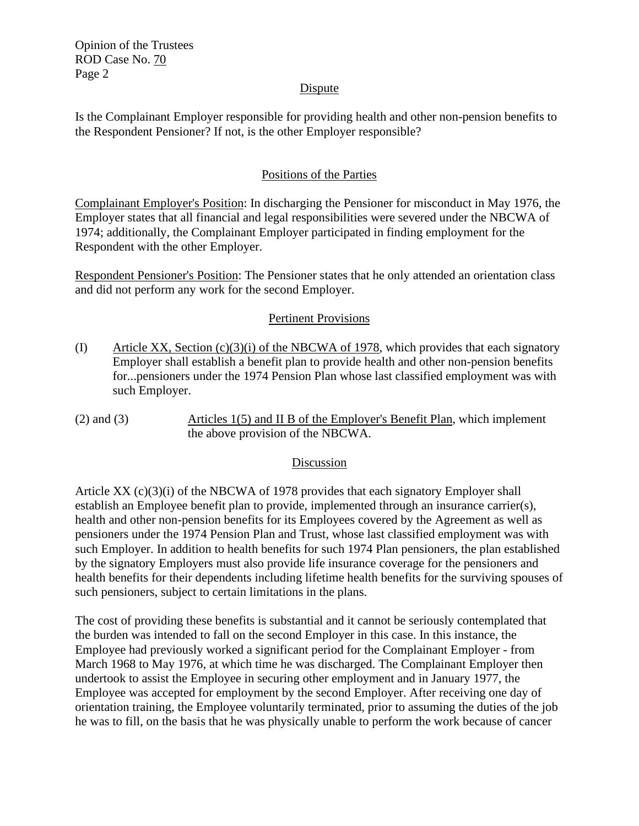Opinion of the Trustees ROD Case No. 70 Page 2

## Dispute

Is the Complainant Employer responsible for providing health and other non-pension benefits to the Respondent Pensioner? If not, is the other Employer responsible?

# Positions of the Parties

Complainant Employer's Position: In discharging the Pensioner for misconduct in May 1976, the Employer states that all financial and legal responsibilities were severed under the NBCWA of 1974; additionally, the Complainant Employer participated in finding employment for the Respondent with the other Employer.

Respondent Pensioner's Position: The Pensioner states that he only attended an orientation class and did not perform any work for the second Employer.

## Pertinent Provisions

- (I) Article XX, Section (c)(3)(i) of the NBCWA of 1978, which provides that each signatory Employer shall establish a benefit plan to provide health and other non-pension benefits for...pensioners under the 1974 Pension Plan whose last classified employment was with such Employer.
- (2) and (3) Articles 1(5) and II B of the Employer's Benefit Plan, which implement the above provision of the NBCWA.

## Discussion

Article  $XX$  (c)(3)(i) of the NBCWA of 1978 provides that each signatory Employer shall establish an Employee benefit plan to provide, implemented through an insurance carrier(s), health and other non-pension benefits for its Employees covered by the Agreement as well as pensioners under the 1974 Pension Plan and Trust, whose last classified employment was with such Employer. In addition to health benefits for such 1974 Plan pensioners, the plan established by the signatory Employers must also provide life insurance coverage for the pensioners and health benefits for their dependents including lifetime health benefits for the surviving spouses of such pensioners, subject to certain limitations in the plans.

The cost of providing these benefits is substantial and it cannot be seriously contemplated that the burden was intended to fall on the second Employer in this case. In this instance, the Employee had previously worked a significant period for the Complainant Employer - from March 1968 to May 1976, at which time he was discharged. The Complainant Employer then undertook to assist the Employee in securing other employment and in January 1977, the Employee was accepted for employment by the second Employer. After receiving one day of orientation training, the Employee voluntarily terminated, prior to assuming the duties of the job he was to fill, on the basis that he was physically unable to perform the work because of cancer